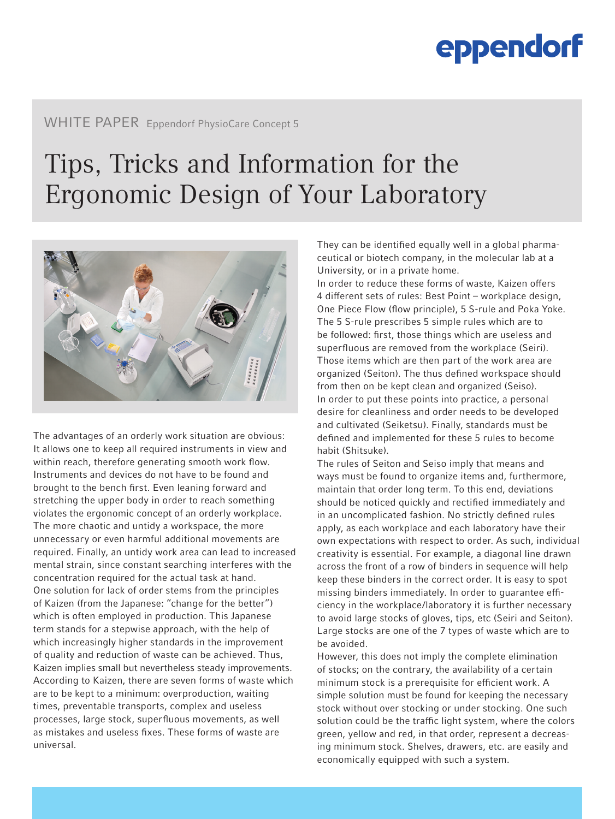### WHITE PAPER Eppendorf PhysioCare Concept 5

### Tips, Tricks and Information for the Ergonomic Design of Your Laboratory



The advantages of an orderly work situation are obvious: It allows one to keep all required instruments in view and within reach, therefore generating smooth work flow. Instruments and devices do not have to be found and brought to the bench first. Even leaning forward and stretching the upper body in order to reach something violates the ergonomic concept of an orderly workplace. The more chaotic and untidy a workspace, the more unnecessary or even harmful additional movements are required. Finally, an untidy work area can lead to increased mental strain, since constant searching interferes with the concentration required for the actual task at hand. One solution for lack of order stems from the principles of Kaizen (from the Japanese: "change for the better") which is often employed in production. This Japanese term stands for a stepwise approach, with the help of which increasingly higher standards in the improvement of quality and reduction of waste can be achieved. Thus, Kaizen implies small but nevertheless steady improvements. According to Kaizen, there are seven forms of waste which are to be kept to a minimum: overproduction, waiting times, preventable transports, complex and useless processes, large stock, superfluous movements, as well as mistakes and useless fixes. These forms of waste are universal.

They can be identified equally well in a global pharmaceutical or biotech company, in the molecular lab at a University, or in a private home.

In order to reduce these forms of waste, Kaizen offers 4 different sets of rules: Best Point – workplace design, One Piece Flow (flow principle), 5 S-rule and Poka Yoke. The 5 S-rule prescribes 5 simple rules which are to be followed: first, those things which are useless and superfluous are removed from the workplace (Seiri). Those items which are then part of the work area are organized (Seiton). The thus defined workspace should from then on be kept clean and organized (Seiso). In order to put these points into practice, a personal desire for cleanliness and order needs to be developed and cultivated (Seiketsu). Finally, standards must be defined and implemented for these 5 rules to become habit (Shitsuke).

The rules of Seiton and Seiso imply that means and ways must be found to organize items and, furthermore, maintain that order long term. To this end, deviations should be noticed quickly and rectified immediately and in an uncomplicated fashion. No strictly defined rules apply, as each workplace and each laboratory have their own expectations with respect to order. As such, individual creativity is essential. For example, a diagonal line drawn across the front of a row of binders in sequence will help keep these binders in the correct order. It is easy to spot missing binders immediately. In order to guarantee efficiency in the workplace/laboratory it is further necessary to avoid large stocks of gloves, tips, etc (Seiri and Seiton). Large stocks are one of the 7 types of waste which are to be avoided.

However, this does not imply the complete elimination of stocks; on the contrary, the availability of a certain minimum stock is a prerequisite for efficient work. A simple solution must be found for keeping the necessary stock without over stocking or under stocking. One such solution could be the traffic light system, where the colors green, yellow and red, in that order, represent a decreasing minimum stock. Shelves, drawers, etc. are easily and economically equipped with such a system.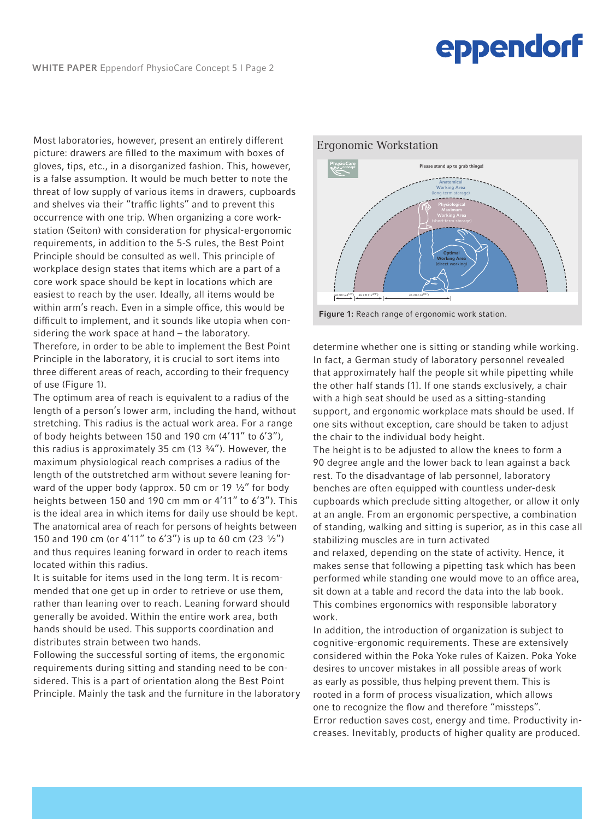Most laboratories, however, present an entirely different picture: drawers are filled to the maximum with boxes of gloves, tips, etc., in a disorganized fashion. This, however, is a false assumption. It would be much better to note the threat of low supply of various items in drawers, cupboards and shelves via their "traffic lights" and to prevent this occurrence with one trip. When organizing a core workstation (Seiton) with consideration for physical-ergonomic requirements, in addition to the 5-S rules, the Best Point Principle should be consulted as well. This principle of workplace design states that items which are a part of a core work space should be kept in locations which are easiest to reach by the user. Ideally, all items would be within arm's reach. Even in a simple office, this would be difficult to implement, and it sounds like utopia when considering the work space at hand – the laboratory. Therefore, in order to be able to implement the Best Point Principle in the laboratory, it is crucial to sort items into three different areas of reach, according to their frequency of use (Figure 1).

The optimum area of reach is equivalent to a radius of the length of a person's lower arm, including the hand, without stretching. This radius is the actual work area. For a range of body heights between 150 and 190 cm (4'11" to 6'3"), this radius is approximately 35 cm  $(13 \frac{3}{4})$ . However, the maximum physiological reach comprises a radius of the length of the outstretched arm without severe leaning forward of the upper body (approx. 50 cm or 19 1/2" for body heights between 150 and 190 cm mm or 4'11" to 6'3"). This is the ideal area in which items for daily use should be kept. The anatomical area of reach for persons of heights between 150 and 190 cm (or 4'11" to 6'3") is up to 60 cm (23 ½") and thus requires leaning forward in order to reach items located within this radius.

It is suitable for items used in the long term. It is recommended that one get up in order to retrieve or use them, rather than leaning over to reach. Leaning forward should generally be avoided. Within the entire work area, both hands should be used. This supports coordination and distributes strain between two hands.

Following the successful sorting of items, the ergonomic requirements during sitting and standing need to be considered. This is a part of orientation along the Best Point Principle. Mainly the task and the furniture in the laboratory



#### Figure 1: Reach range of ergonomic work station.

determine whether one is sitting or standing while working. In fact, a German study of laboratory personnel revealed that approximately half the people sit while pipetting while the other half stands [1]. If one stands exclusively, a chair with a high seat should be used as a sitting-standing support, and ergonomic workplace mats should be used. If one sits without exception, care should be taken to adjust the chair to the individual body height.

The height is to be adjusted to allow the knees to form a 90 degree angle and the lower back to lean against a back rest. To the disadvantage of lab personnel, laboratory benches are often equipped with countless under-desk cupboards which preclude sitting altogether, or allow it only at an angle. From an ergonomic perspective, a combination of standing, walking and sitting is superior, as in this case all stabilizing muscles are in turn activated

and relaxed, depending on the state of activity. Hence, it makes sense that following a pipetting task which has been performed while standing one would move to an office area, sit down at a table and record the data into the lab book. This combines ergonomics with responsible laboratory work.

In addition, the introduction of organization is subject to cognitive-ergonomic requirements. These are extensively considered within the Poka Yoke rules of Kaizen. Poka Yoke desires to uncover mistakes in all possible areas of work as early as possible, thus helping prevent them. This is rooted in a form of process visualization, which allows one to recognize the flow and therefore "missteps". Error reduction saves cost, energy and time. Productivity increases. Inevitably, products of higher quality are produced.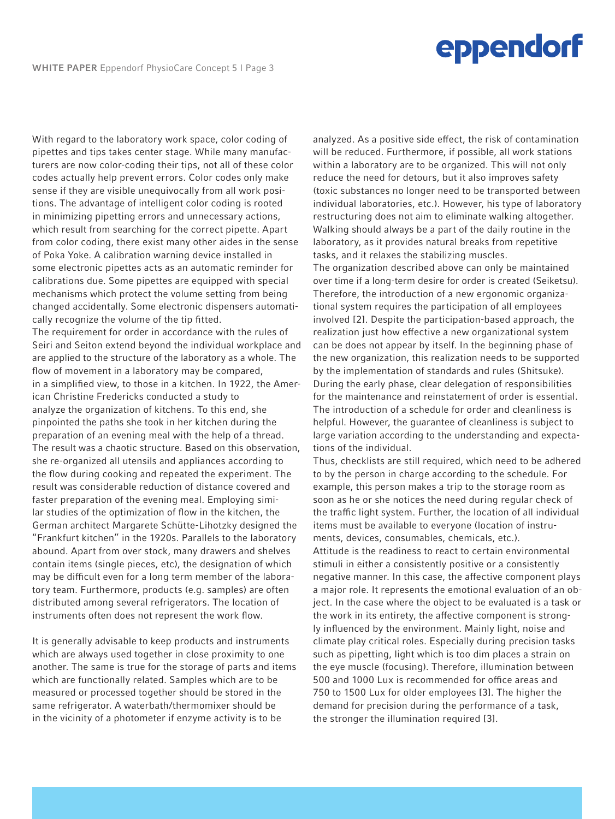With regard to the laboratory work space, color coding of pipettes and tips takes center stage. While many manufacturers are now color-coding their tips, not all of these color codes actually help prevent errors. Color codes only make sense if they are visible unequivocally from all work positions. The advantage of intelligent color coding is rooted in minimizing pipetting errors and unnecessary actions, which result from searching for the correct pipette. Apart from color coding, there exist many other aides in the sense of Poka Yoke. A calibration warning device installed in some electronic pipettes acts as an automatic reminder for calibrations due. Some pipettes are equipped with special mechanisms which protect the volume setting from being changed accidentally. Some electronic dispensers automatically recognize the volume of the tip fitted.

The requirement for order in accordance with the rules of Seiri and Seiton extend beyond the individual workplace and are applied to the structure of the laboratory as a whole. The flow of movement in a laboratory may be compared, in a simplified view, to those in a kitchen. In 1922, the American Christine Fredericks conducted a study to analyze the organization of kitchens. To this end, she pinpointed the paths she took in her kitchen during the preparation of an evening meal with the help of a thread. The result was a chaotic structure. Based on this observation, she re-organized all utensils and appliances according to the flow during cooking and repeated the experiment. The result was considerable reduction of distance covered and faster preparation of the evening meal. Employing similar studies of the optimization of flow in the kitchen, the German architect Margarete Schütte-Lihotzky designed the "Frankfurt kitchen" in the 1920s. Parallels to the laboratory abound. Apart from over stock, many drawers and shelves contain items (single pieces, etc), the designation of which may be difficult even for a long term member of the laboratory team. Furthermore, products (e.g. samples) are often distributed among several refrigerators. The location of instruments often does not represent the work flow.

It is generally advisable to keep products and instruments which are always used together in close proximity to one another. The same is true for the storage of parts and items which are functionally related. Samples which are to be measured or processed together should be stored in the same refrigerator. A waterbath/thermomixer should be in the vicinity of a photometer if enzyme activity is to be

analyzed. As a positive side effect, the risk of contamination will be reduced. Furthermore, if possible, all work stations within a laboratory are to be organized. This will not only reduce the need for detours, but it also improves safety (toxic substances no longer need to be transported between individual laboratories, etc.). However, his type of laboratory restructuring does not aim to eliminate walking altogether. Walking should always be a part of the daily routine in the laboratory, as it provides natural breaks from repetitive tasks, and it relaxes the stabilizing muscles. The organization described above can only be maintained over time if a long-term desire for order is created (Seiketsu). Therefore, the introduction of a new ergonomic organizational system requires the participation of all employees involved [2]. Despite the participation-based approach, the realization just how effective a new organizational system can be does not appear by itself. In the beginning phase of the new organization, this realization needs to be supported by the implementation of standards and rules (Shitsuke). During the early phase, clear delegation of responsibilities for the maintenance and reinstatement of order is essential. The introduction of a schedule for order and cleanliness is helpful. However, the guarantee of cleanliness is subject to large variation according to the understanding and expectations of the individual.

Thus, checklists are still required, which need to be adhered to by the person in charge according to the schedule. For example, this person makes a trip to the storage room as soon as he or she notices the need during regular check of the traffic light system. Further, the location of all individual items must be available to everyone (location of instruments, devices, consumables, chemicals, etc.). Attitude is the readiness to react to certain environmental stimuli in either a consistently positive or a consistently negative manner. In this case, the affective component plays a major role. It represents the emotional evaluation of an object. In the case where the object to be evaluated is a task or the work in its entirety, the affective component is strongly influenced by the environment. Mainly light, noise and climate play critical roles. Especially during precision tasks such as pipetting, light which is too dim places a strain on the eye muscle (focusing). Therefore, illumination between 500 and 1000 Lux is recommended for office areas and 750 to 1500 Lux for older employees [3]. The higher the demand for precision during the performance of a task, the stronger the illumination required [3].